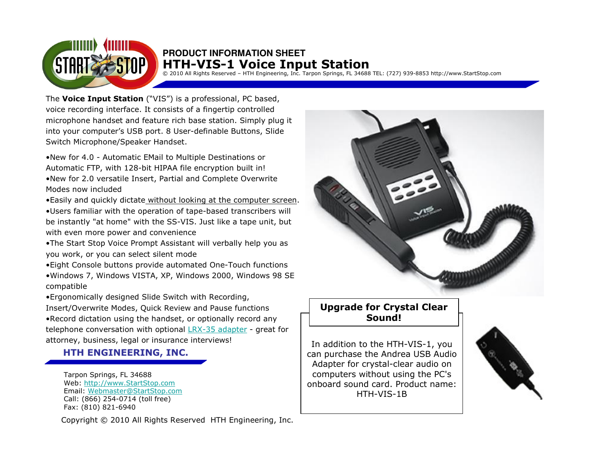

© 2010 All Rights Reserved – HTH Engineering, Inc. Tarpon Springs, FL 34688 TEL: (727) 939-8853 http://www.StartStop.com

The **Voice Input Station** ("VIS") is a professional, PC based, voice recording interface. It consists of a fingertip controlled microphone handset and feature rich base station. Simply plug itinto your computer's USB port. 8 User-definable Buttons, Slide Switch Microphone/Speaker Handset.

•New for 4.0 - Automatic EMail to Multiple Destinations or Automatic FTP, with 128-bit HIPAA file encryption built in! •New for 2.0 versatile Insert, Partial and Complete Overwrite Modes now included

•Easily and quickly dictate without looking at the computer screen.

•Users familiar with the operation of tape-based transcribers will be instantly "at home" with the SS-VIS. Just like a tape unit, but with even more power and convenience

•The Start Stop Voice Prompt Assistant will verbally help you as you work, or you can select silent mode

•Eight Console buttons provide automated One-Touch functions •Windows 7, Windows VISTA, XP, Windows 2000, Windows 98 SE compatible

•Ergonomically designed Slide Switch with Recording, Insert/Overwrite Modes, Quick Review and Pause functions •Record dictation using the handset, or optionally record any telephone conversation with optional <u>LRX-35 adapter</u> - great for<br>atternary business, local ar*inguranes interviewe*l attorney, business, legal or insurance interviews!

## HTH ENGINEERING, INC.

Tarpon Springs, FL 34688 Web: http://www.StartStop.com Email: Webmaster@StartStop.comCall: (866) 254-0714 (toll free)Fax: (810) 821-6940

Copyright © 2010 All Rights Reserved HTH Engineering, Inc.



## Upgrade for Crystal Clear Sound!

 In addition to the HTH-VIS-1, you can purchase the Andrea USB Audio Adapter for crystal-clear audio on computers without using the PC's onboard sound card. Product name: HTH-VIS-1B

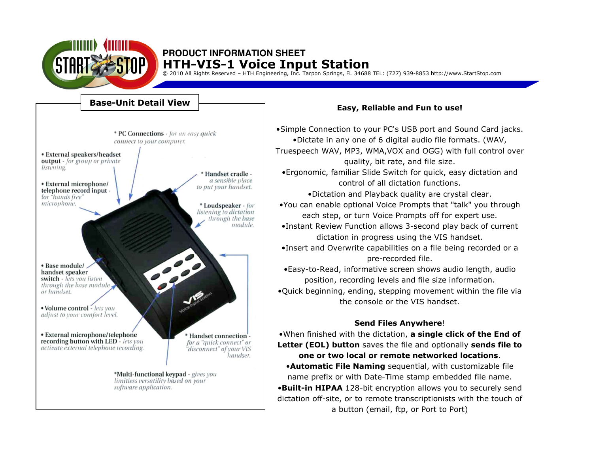

© 2010 All Rights Reserved – HTH Engineering, Inc. Tarpon Springs, FL 34688 TEL: (727) 939-8853 http://www.StartStop.com



#### Easy, Reliable and Fun to use!

•Simple Connection to your PC's USB port and Sound Card jacks. •Dictate in any one of 6 digital audio file formats. (WAV, Truespeech WAV, MP3, WMA,VOX and OGG) with full control over quality, bit rate, and file size.

•Ergonomic, familiar Slide Switch for quick, easy dictation and control of all dictation functions.

•Dictation and Playback quality are crystal clear.

•You can enable optional Voice Prompts that "talk" you through each step, or turn Voice Prompts off for expert use.

•Instant Review Function allows 3-second play back of current dictation in progress using the VIS handset.

•Insert and Overwrite capabilities on a file being recorded or a pre-recorded file.

•Easy-to-Read, informative screen shows audio length, audio position, recording levels and file size information. •Quick beginning, ending, stepping movement within the file via the console or the VIS handset.

#### Send Files Anywhere!

•When finished with the dictation, a single click of the End of **Letter (EOL) button** saves the file and optionally **sends file to** one or two local or remote networked locations. •Automatic File Naming sequential, with customizable file name prefix or with Date-Time stamp embedded file name. •Built-in HIPAA 128-bit encryption allows you to securely send dictation off-site, or to remote transcriptionists with the touch of a button (email, ftp, or Port to Port)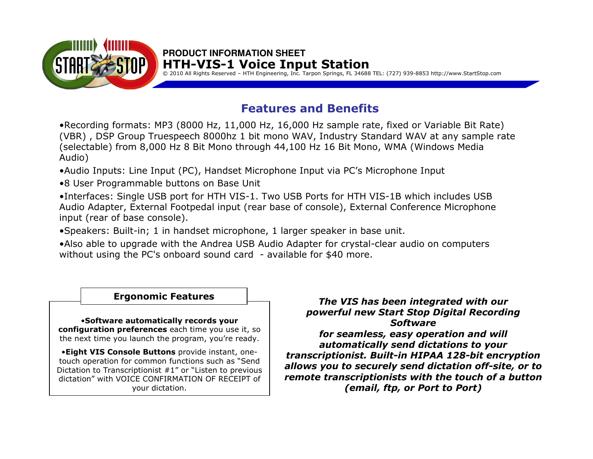

© 2010 All Rights Reserved – HTH Engineering, Inc. Tarpon Springs, FL 34688 TEL: (727) 939-8853 http://www.StartStop.com

# Features and Benefits

•Recording formats: MP3 (8000 Hz, 11,000 Hz, 16,000 Hz sample rate, fixed or Variable Bit Rate) (VBR), DSP Group Truespeech 8000hz 1 bit mono WAV, Industry Standard WAV at any sample rate<br>(selectable) from 8 000 Hz 8 Bit Mono through 44 100 Hz 16 Bit Mono, WMA (Windows Media (selectable) from 8,000 Hz 8 Bit Mono through 44,100 Hz 16 Bit Mono, WMA (Windows Media Audio)

•Audio Inputs: Line Input (PC), Handset Microphone Input via PC's Microphone Input

•8 User Programmable buttons on Base Unit

•Interfaces: Single USB port for HTH VIS-1. Two USB Ports for HTH VIS-1B which includes USB Audio Adapter, External Footpedal input (rear base of console), External Conference Microphone input (rear of base console).

•Speakers: Built-in; 1 in handset microphone, 1 larger speaker in base unit.

•Also able to upgrade with the Andrea USB Audio Adapter for crystal-clear audio on computers without using the PC's onboard sound card - available for \$40 more.

## Ergonomic Features

•Software automatically records your **configuration preferences** each time you use it, so the next time you launch the program, you're ready.

•Eight VIS Console Buttons provide instant, onetouch operation for common functions such as "Send Dictation to Transcriptionist #1" or "Listen to previous dictation" with VOICE CONFIRMATION OF RECEIPT of your dictation.

The VIS has been integrated with our powerful new Start Stop Digital Recording Software for seamless, easy operation and will automatically send dictations to your transcriptionist. Built-in HIPAA 128-bit encryption allows you to securely send dictation off-site, or to remote transcriptionists with the touch of a button(email, ftp, or Port to Port)